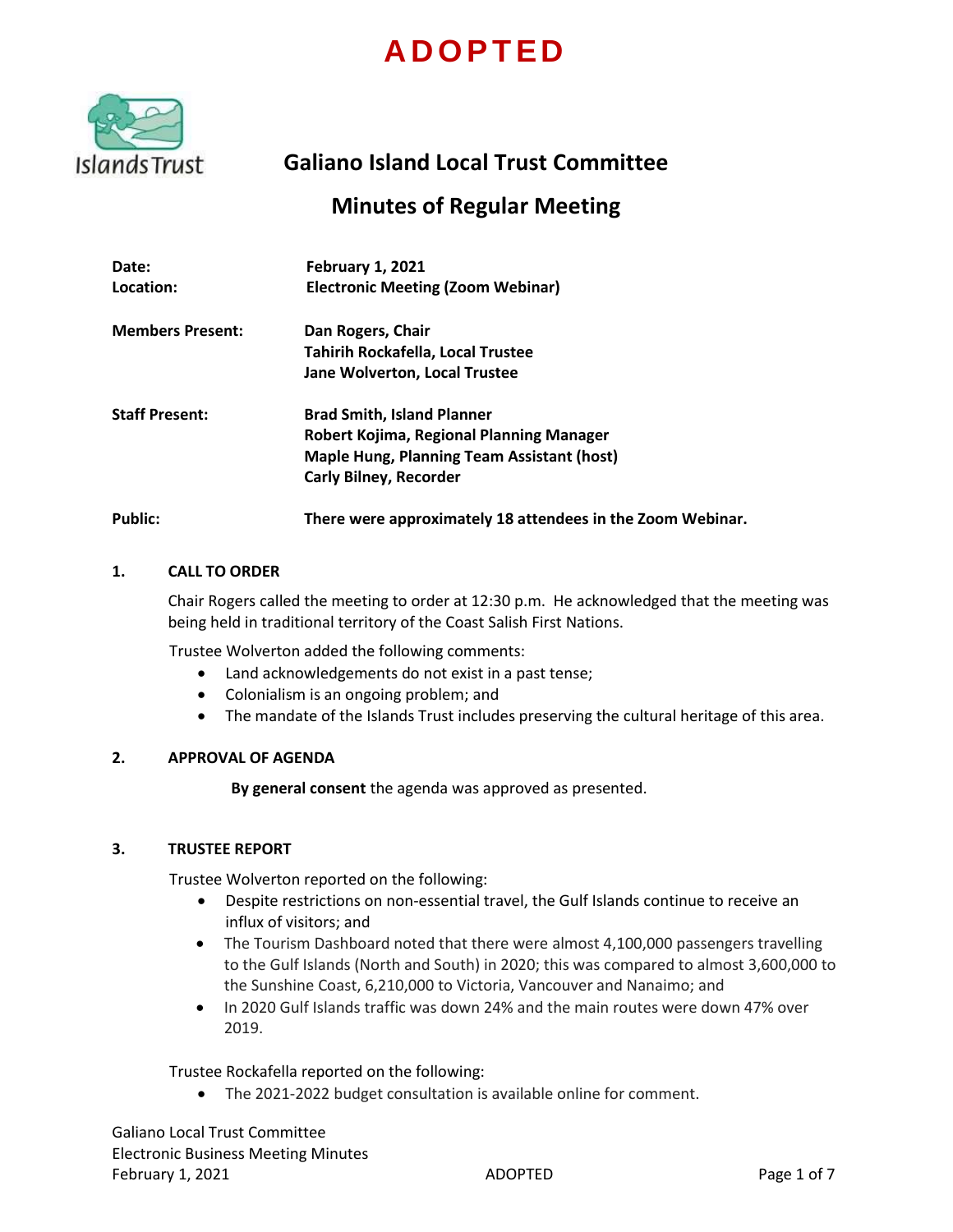# **A D O P T E D**



## **Galiano Island Local Trust Committee**

## **Minutes of Regular Meeting**

| Date:<br>Location:      | <b>February 1, 2021</b><br><b>Electronic Meeting (Zoom Webinar)</b>                                                                                                 |
|-------------------------|---------------------------------------------------------------------------------------------------------------------------------------------------------------------|
| <b>Members Present:</b> | Dan Rogers, Chair<br><b>Tahirih Rockafella, Local Trustee</b>                                                                                                       |
|                         | <b>Jane Wolverton, Local Trustee</b>                                                                                                                                |
| <b>Staff Present:</b>   | <b>Brad Smith, Island Planner</b><br>Robert Kojima, Regional Planning Manager<br><b>Maple Hung, Planning Team Assistant (host)</b><br><b>Carly Bilney, Recorder</b> |
| Public:                 | There were approximately 18 attendees in the Zoom Webinar.                                                                                                          |

## **1. CALL TO ORDER**

Chair Rogers called the meeting to order at 12:30 p.m. He acknowledged that the meeting was being held in traditional territory of the Coast Salish First Nations.

Trustee Wolverton added the following comments:

- Land acknowledgements do not exist in a past tense;
- Colonialism is an ongoing problem; and
- The mandate of the Islands Trust includes preserving the cultural heritage of this area.

## **2. APPROVAL OF AGENDA**

**By general consent** the agenda was approved as presented.

## **3. TRUSTEE REPORT**

Trustee Wolverton reported on the following:

- Despite restrictions on non-essential travel, the Gulf Islands continue to receive an influx of visitors; and
- The Tourism Dashboard noted that there were almost 4,100,000 passengers travelling to the Gulf Islands (North and South) in 2020; this was compared to almost 3,600,000 to the Sunshine Coast, 6,210,000 to Victoria, Vancouver and Nanaimo; and
- $\bullet$  In 2020 Gulf Islands traffic was down 24% and the main routes were down 47% over 2019.

Trustee Rockafella reported on the following:

The 2021-2022 budget consultation is available online for comment.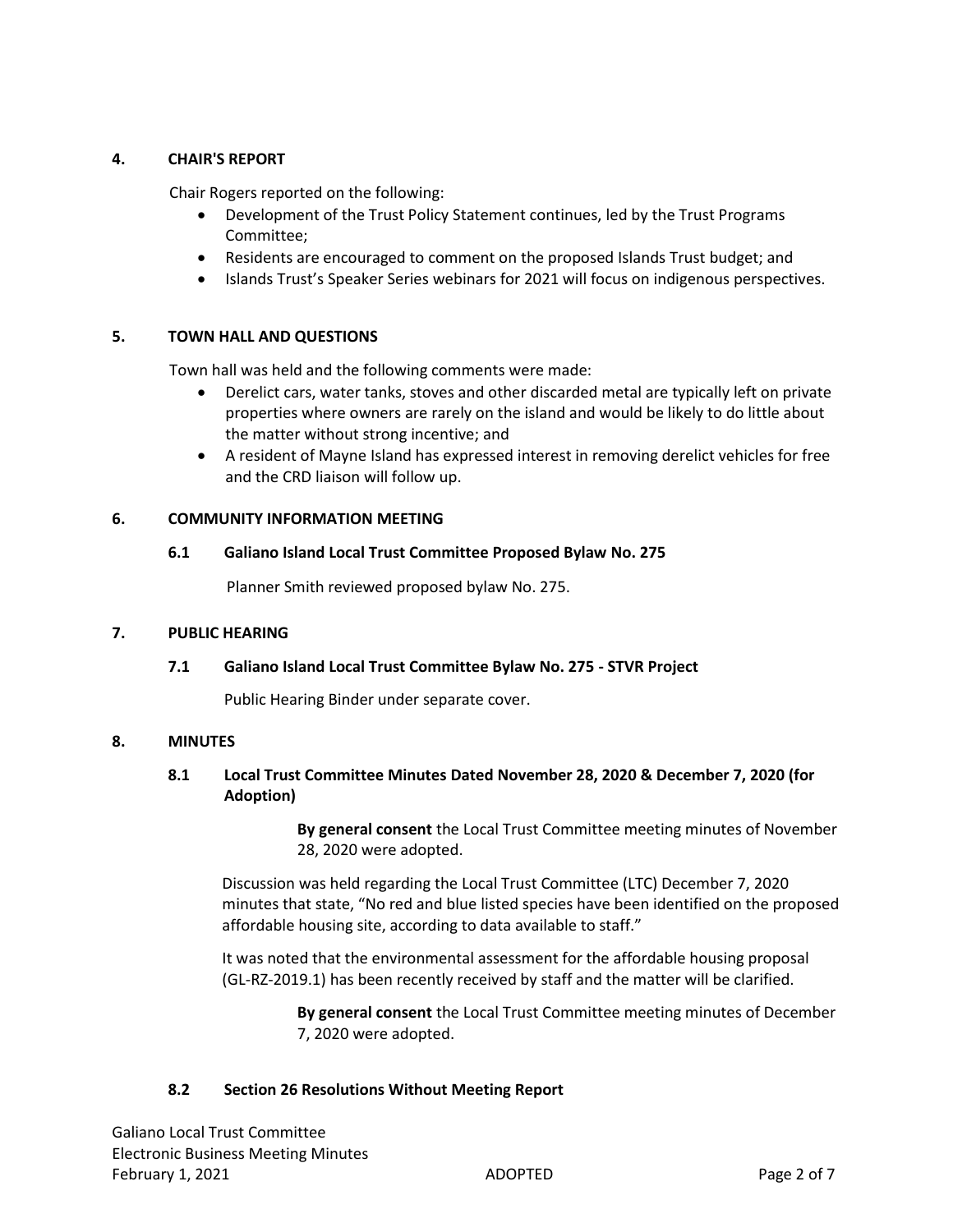## **4. CHAIR'S REPORT**

Chair Rogers reported on the following:

- Development of the Trust Policy Statement continues, led by the Trust Programs Committee;
- Residents are encouraged to comment on the proposed Islands Trust budget; and
- Islands Trust's Speaker Series webinars for 2021 will focus on indigenous perspectives.

## **5. TOWN HALL AND QUESTIONS**

Town hall was held and the following comments were made:

- Derelict cars, water tanks, stoves and other discarded metal are typically left on private properties where owners are rarely on the island and would be likely to do little about the matter without strong incentive; and
- A resident of Mayne Island has expressed interest in removing derelict vehicles for free and the CRD liaison will follow up.

## **6. COMMUNITY INFORMATION MEETING**

## **6.1 Galiano Island Local Trust Committee Proposed Bylaw No. 275**

Planner Smith reviewed proposed bylaw No. 275.

## **7. PUBLIC HEARING**

## **7.1 Galiano Island Local Trust Committee Bylaw No. 275 - STVR Project**

Public Hearing Binder under separate cover.

## **8. MINUTES**

## **8.1 Local Trust Committee Minutes Dated November 28, 2020 & December 7, 2020 (for Adoption)**

**By general consent** the Local Trust Committee meeting minutes of November 28, 2020 were adopted.

Discussion was held regarding the Local Trust Committee (LTC) December 7, 2020 minutes that state, "No red and blue listed species have been identified on the proposed affordable housing site, according to data available to staff."

It was noted that the environmental assessment for the affordable housing proposal (GL-RZ-2019.1) has been recently received by staff and the matter will be clarified.

> **By general consent** the Local Trust Committee meeting minutes of December 7, 2020 were adopted.

## **8.2 Section 26 Resolutions Without Meeting Report**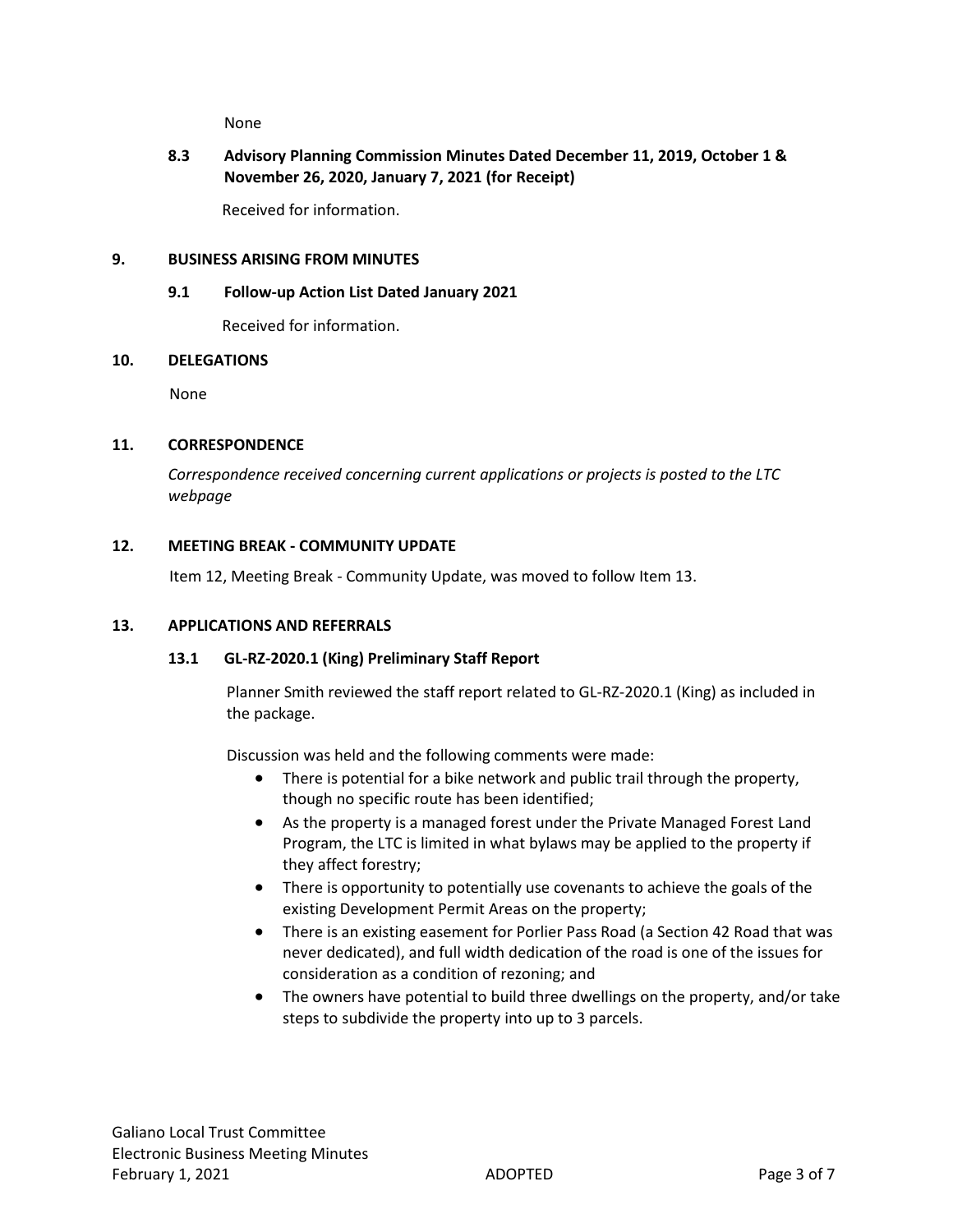None

## **8.3 Advisory Planning Commission Minutes Dated December 11, 2019, October 1 & November 26, 2020, January 7, 2021 (for Receipt)**

Received for information.

## **9. BUSINESS ARISING FROM MINUTES**

## **9.1 Follow-up Action List Dated January 2021**

Received for information.

## **10. DELEGATIONS**

None

## **11. CORRESPONDENCE**

*Correspondence received concerning current applications or projects is posted to the LTC webpage*

## **12. MEETING BREAK - COMMUNITY UPDATE**

Item 12, Meeting Break - Community Update, was moved to follow Item 13.

## **13. APPLICATIONS AND REFERRALS**

## **13.1 GL-RZ-2020.1 (King) Preliminary Staff Report**

Planner Smith reviewed the staff report related to GL-RZ-2020.1 (King) as included in the package.

Discussion was held and the following comments were made:

- There is potential for a bike network and public trail through the property, though no specific route has been identified;
- As the property is a managed forest under the Private Managed Forest Land Program, the LTC is limited in what bylaws may be applied to the property if they affect forestry;
- There is opportunity to potentially use covenants to achieve the goals of the existing Development Permit Areas on the property;
- There is an existing easement for Porlier Pass Road (a Section 42 Road that was never dedicated), and full width dedication of the road is one of the issues for consideration as a condition of rezoning; and
- The owners have potential to build three dwellings on the property, and/or take steps to subdivide the property into up to 3 parcels.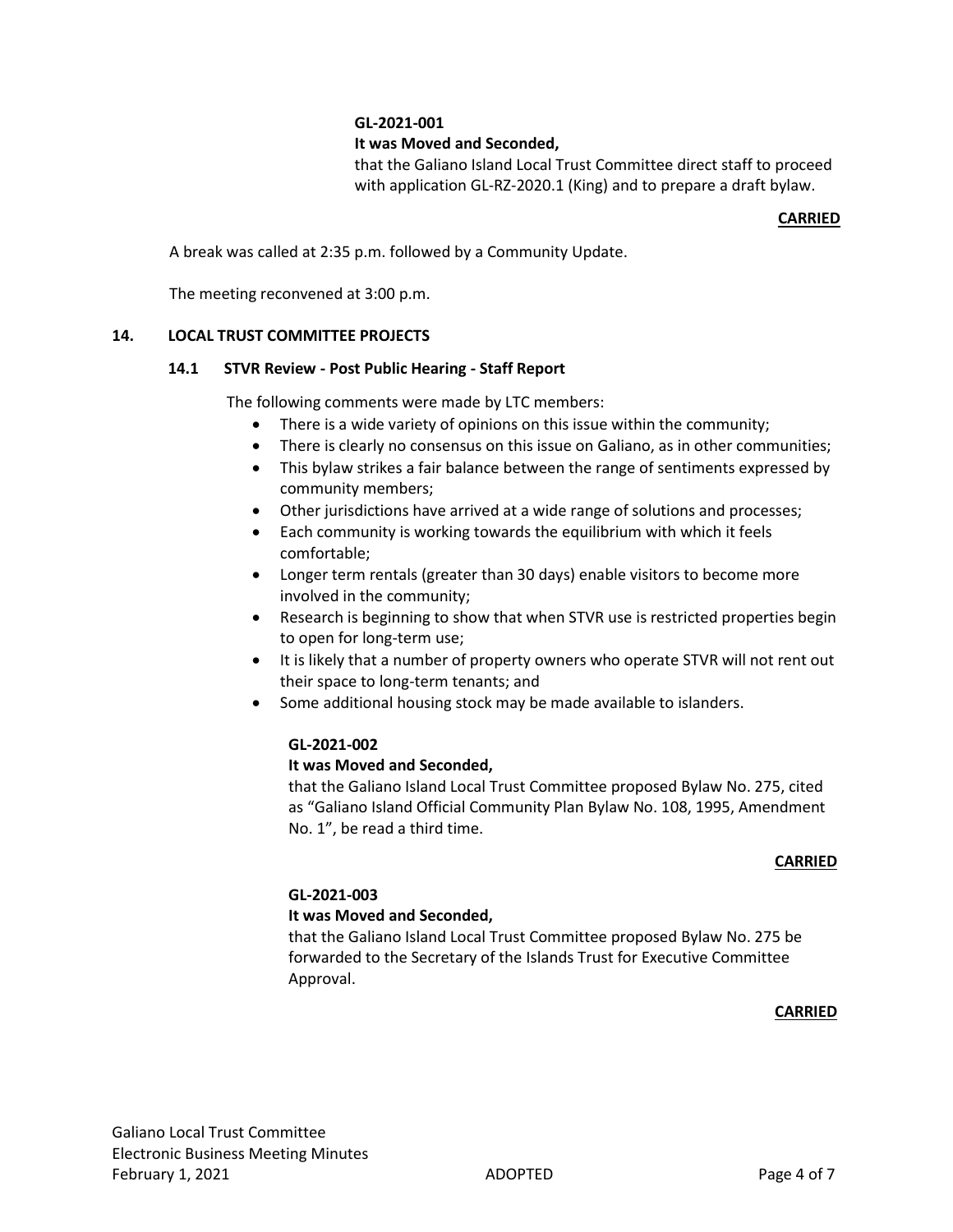## **GL-2021-001**

## **It was Moved and Seconded,**

that the Galiano Island Local Trust Committee direct staff to proceed with application GL-RZ-2020.1 (King) and to prepare a draft bylaw.

## **CARRIED**

A break was called at 2:35 p.m. followed by a Community Update.

The meeting reconvened at 3:00 p.m.

## **14. LOCAL TRUST COMMITTEE PROJECTS**

#### **14.1 STVR Review - Post Public Hearing - Staff Report**

The following comments were made by LTC members:

- There is a wide variety of opinions on this issue within the community;
- There is clearly no consensus on this issue on Galiano, as in other communities;
- This bylaw strikes a fair balance between the range of sentiments expressed by community members;
- Other jurisdictions have arrived at a wide range of solutions and processes;
- Each community is working towards the equilibrium with which it feels comfortable;
- Longer term rentals (greater than 30 days) enable visitors to become more involved in the community;
- Research is beginning to show that when STVR use is restricted properties begin to open for long-term use;
- It is likely that a number of property owners who operate STVR will not rent out their space to long-term tenants; and
- Some additional housing stock may be made available to islanders.

## **GL-2021-002**

## **It was Moved and Seconded,**

that the Galiano Island Local Trust Committee proposed Bylaw No. 275, cited as "Galiano Island Official Community Plan Bylaw No. 108, 1995, Amendment No. 1", be read a third time.

#### **CARRIED**

## **GL-2021-003**

## **It was Moved and Seconded,**

that the Galiano Island Local Trust Committee proposed Bylaw No. 275 be forwarded to the Secretary of the Islands Trust for Executive Committee Approval.

#### **CARRIED**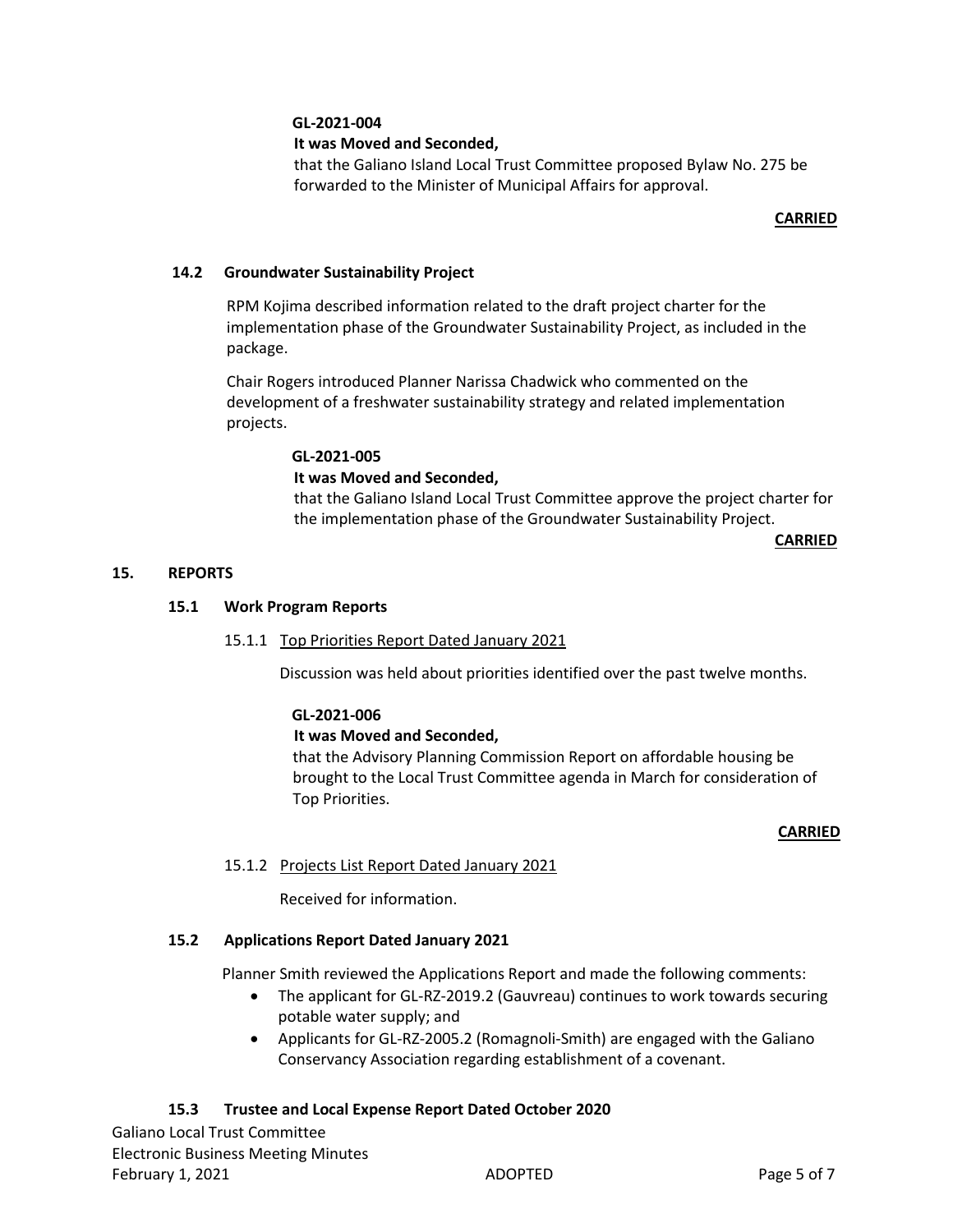## **GL-2021-004**

## **It was Moved and Seconded,**

that the Galiano Island Local Trust Committee proposed Bylaw No. 275 be forwarded to the Minister of Municipal Affairs for approval.

## **CARRIED**

## **14.2 Groundwater Sustainability Project**

RPM Kojima described information related to the draft project charter for the implementation phase of the Groundwater Sustainability Project, as included in the package.

Chair Rogers introduced Planner Narissa Chadwick who commented on the development of a freshwater sustainability strategy and related implementation projects.

#### **GL-2021-005**

## **It was Moved and Seconded,**

that the Galiano Island Local Trust Committee approve the project charter for the implementation phase of the Groundwater Sustainability Project.

 **CARRIED**

#### **15. REPORTS**

## **15.1 Work Program Reports**

## 15.1.1 Top Priorities Report Dated January 2021

Discussion was held about priorities identified over the past twelve months.

## **GL-2021-006**

## **It was Moved and Seconded,**

that the Advisory Planning Commission Report on affordable housing be brought to the Local Trust Committee agenda in March for consideration of Top Priorities.

#### **CARRIED**

## 15.1.2 Projects List Report Dated January 2021

Received for information.

## **15.2 Applications Report Dated January 2021**

Planner Smith reviewed the Applications Report and made the following comments:

- The applicant for GL-RZ-2019.2 (Gauvreau) continues to work towards securing potable water supply; and
- Applicants for GL-RZ-2005.2 (Romagnoli-Smith) are engaged with the Galiano Conservancy Association regarding establishment of a covenant.

## **15.3 Trustee and Local Expense Report Dated October 2020**

Galiano Local Trust Committee Electronic Business Meeting Minutes February 1, 2021 **Page 5 of 7** ADOPTED **Page 5 of 7**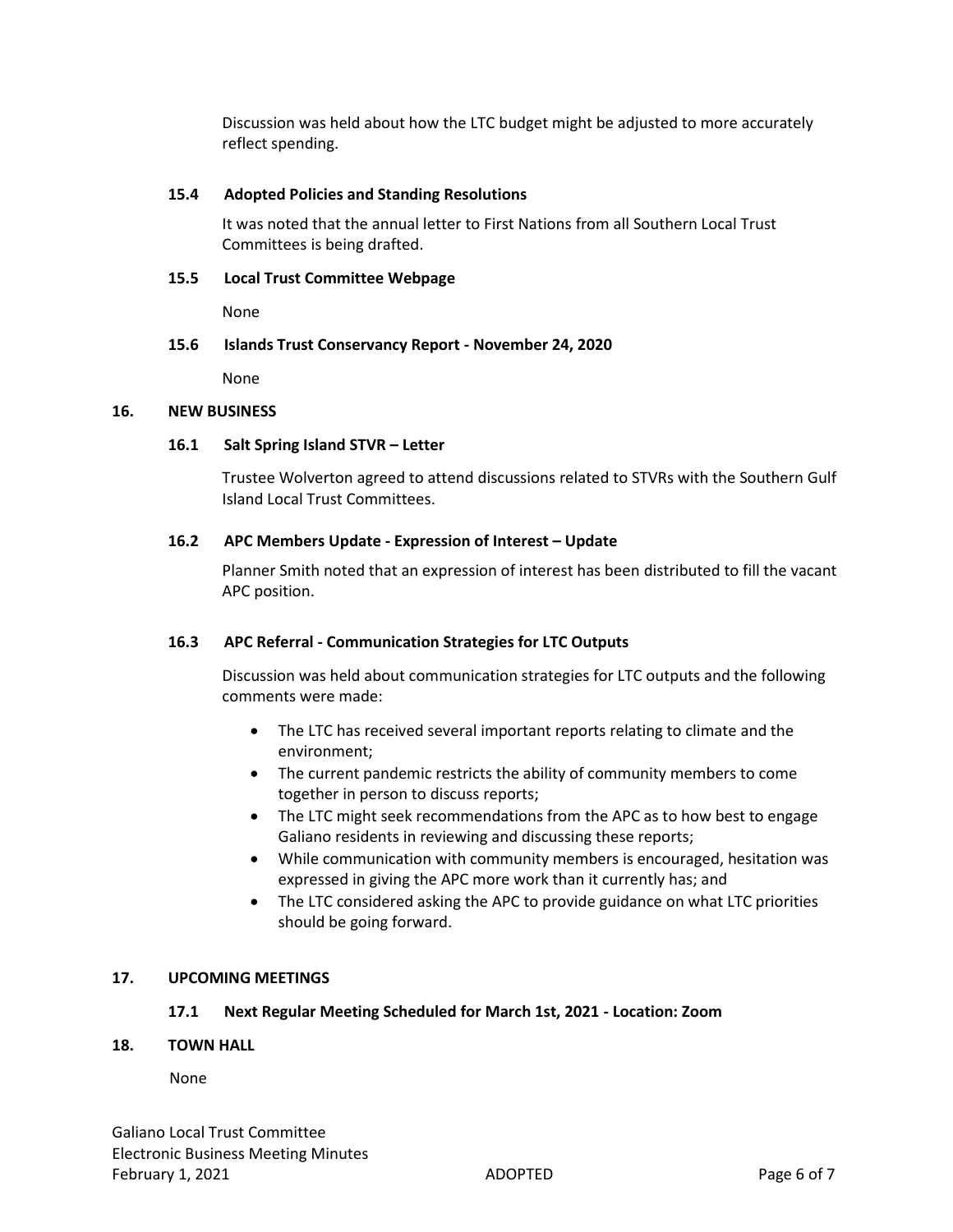Discussion was held about how the LTC budget might be adjusted to more accurately reflect spending.

## **15.4 Adopted Policies and Standing Resolutions**

It was noted that the annual letter to First Nations from all Southern Local Trust Committees is being drafted.

## **15.5 Local Trust Committee Webpage**

None

## **15.6 Islands Trust Conservancy Report - November 24, 2020**

None

## **16. NEW BUSINESS**

## **16.1 Salt Spring Island STVR – Letter**

Trustee Wolverton agreed to attend discussions related to STVRs with the Southern Gulf Island Local Trust Committees.

## **16.2 APC Members Update - Expression of Interest – Update**

Planner Smith noted that an expression of interest has been distributed to fill the vacant APC position.

## **16.3 APC Referral - Communication Strategies for LTC Outputs**

Discussion was held about communication strategies for LTC outputs and the following comments were made:

- The LTC has received several important reports relating to climate and the environment;
- The current pandemic restricts the ability of community members to come together in person to discuss reports;
- The LTC might seek recommendations from the APC as to how best to engage Galiano residents in reviewing and discussing these reports;
- While communication with community members is encouraged, hesitation was expressed in giving the APC more work than it currently has; and
- The LTC considered asking the APC to provide guidance on what LTC priorities should be going forward.

## **17. UPCOMING MEETINGS**

## **17.1 Next Regular Meeting Scheduled for March 1st, 2021 - Location: Zoom**

## **18. TOWN HALL**

None